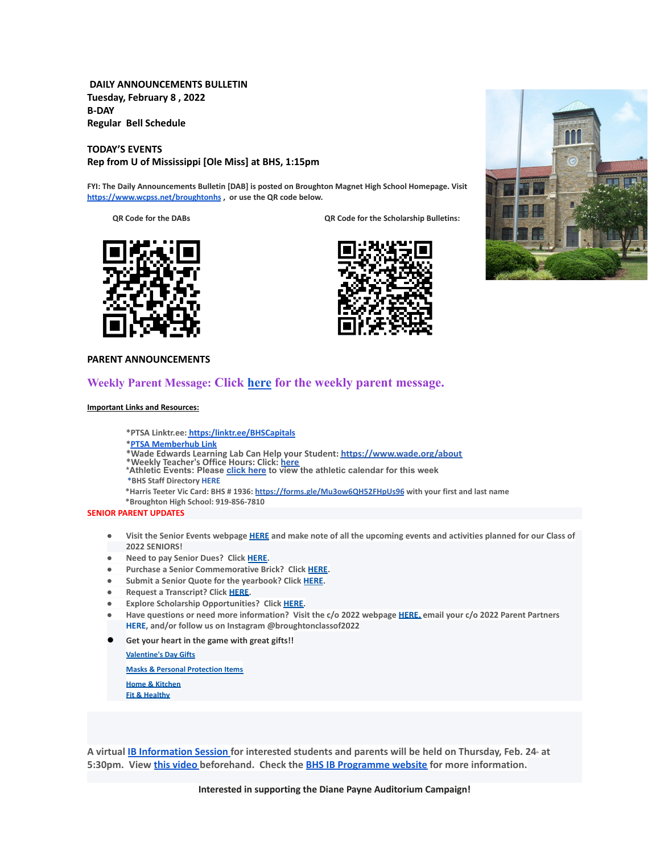**DAILY ANNOUNCEMENTS BULLETIN Tuesday, February 8 , 2022 B-DAY Regular Bell Schedule**

**TODAY'S EVENTS Rep from U of Mississippi [Ole Miss] at BHS, 1:15pm**

**FYI: The Daily Announcements Bulletin [DAB] is posted on Broughton Magnet High School Homepage. Visit <https://www.wcpss.net/broughtonhs> , or use the QR code below.**

**QR Code for the DABs QR Code for the Scholarship Bulletins:**







### **PARENT ANNOUNCEMENTS**

## **Weekly Parent Message: Click [here](https://docs.google.com/document/d/1byW_QJuGwd7Zl5UZUX_EY33oOrO2rx37tSFWOY0VSg0/edit?usp=sharing) for the weekly parent message.**

#### **Important Links and Resources:**

**\*PTSA Linktr.ee: [https:/linktr.ee/BHSCapitals](https://linktr.ee/BHSCapitals)**

**\*PTSA [Memberhub](https://bhs.memberhub.com/store?category=Class%20of%202025) Link**

- **\*Wade Edwards Learning Lab Can Help your Student: <https://www.wade.org/about>**
- \*Weekly Teacher's Office Hours: Click: <u>[here](http://track.spe.schoolmessenger.com/f/a/VXmQUgL3DjY_xouvtQeSYg~~/AAAAAQA~/RgRjH1ehP0QiaHR0cHM6Ly93d3cud2Nwc3MubmV0L2RvbWFpbi8xNzY0MlcHc2Nob29sbUIKYTghJD5h5cteolIYa21jY29ubmVsbEBidWRkZ3JvdXAuY29tWAQAAAAB)</u><br>\*Athletic Events: Please <u>[click](http://track.spe.schoolmessenger.com/f/a/iNb9DXg0NxAeuYTJ_UBTRg~~/AAAAAQA~/RgRjH1ehP0RFaHR0cHM6Ly93d3cud2FrZWNvdW50eWF0aGxldGljcy5jb20vcGFnZS9zaG93LzE5NTI5MzQtbWFzdGVyLWNhbGVuZGFyVwdzY2hvb2xtQgphOCEkPmHly16iUhhrbWNjb25uZWxsQGJ1ZGRncm91cC5jb21YBAAAAAE~) here</u> to view the athletic calendar for this week
- **\*BHS Staff Directory [HERE](https://www.wcpss.net/Page/45215)**
- **\*Harris Teeter Vic Card: BHS # 1936: <https://forms.gle/Mu3ow6QH52FHpUs96> with your first and last name**

**\*Broughton High School: 919-856-7810**

#### **SENIOR PARENT UPDATES**

- Visit the Senior Events webpage [HERE](https://m7scym5f.r.us-east-1.awstrack.me/L0/https:%2F%2Fwww.wcpss.net%2FPage%2F35370/1/0100017e4478ab83-fd134d52-021b-4d63-891c-31465321890c-000000/l2HEysyraEkyUxmN8Zb7rr0KEog=252) and make note of all the upcoming events and activities planned for our Class of **2022 SENIORS!**
- **● Need to pay Senior Dues? Click [HERE.](https://m7scym5f.r.us-east-1.awstrack.me/L0/https:%2F%2Fwww.wcpss.net%2FPage%2F50324/1/0100017e4478ab83-fd134d52-021b-4d63-891c-31465321890c-000000/ClmJnMcZl7w6dHljZfUUpO1RgFY=252)**
- **● Purchase a Senior Commemorative Brick? Click [HERE](https://m7scym5f.r.us-east-1.awstrack.me/L0/https:%2F%2Fwww.wcpss.net%2FPage%2F50325/1/0100017e4478ab83-fd134d52-021b-4d63-891c-31465321890c-000000/TOIvngfsD6BboqDTmL5ZVjjDlM4=252).**
- **● Submit a Senior Quote for the yearbook? Click [HERE](https://m7scym5f.r.us-east-1.awstrack.me/L0/https:%2F%2Fwww.wcpss.net%2FPage%2F50693/1/0100017e4478ab83-fd134d52-021b-4d63-891c-31465321890c-000000/x07d38IITX0jt5c365wfr4AJB_s=252).**
- **● Request a Transcript? Click [HERE](https://m7scym5f.r.us-east-1.awstrack.me/L0/https:%2F%2Fwww.wcpss.net%2FPage%2F33378/1/0100017e4478ab83-fd134d52-021b-4d63-891c-31465321890c-000000/wkbUPzHaF79-OclNJOg-dOdn-Xk=252).**
- **● Explore Scholarship Opportunities? Click [HERE.](https://m7scym5f.r.us-east-1.awstrack.me/L0/https:%2F%2Fwww.wcpss.net%2FPage%2F50317/1/0100017e4478ab83-fd134d52-021b-4d63-891c-31465321890c-000000/vl1ViXxu5uYo9BoHks452rI6848=252)**
- Have questions or need more information? Visit the c/o 2022 webpage [HERE,](https://m7scym5f.r.us-east-1.awstrack.me/L0/https:%2F%2Fbhs.memberhub.com%2Fw%2F2022/1/0100017e4478ab83-fd134d52-021b-4d63-891c-31465321890c-000000/oTZaKWxhWWOo0o48Mf6887IPe6k=252) email your c/o 2022 Parent Partners **HERE, and/or follow us on Instagram @broughtonclassof2022**
- **Get your heart in the game with great gifts!!**

**[Valentine's Day Gifts](https://m7scym5f.r.us-east-1.awstrack.me/L0/https:%2F%2Fbhs.memberhub.com%2Fstore%2Fg%2Fholiday-gift-guide/1/0100017ebc735f11-093445ec-a3d0-4c4a-9ba5-99c2d8674d11-000000/bF--X-692nPUNmcGAHDLmbdZFHA=256)**

**[Masks & Personal Protection Items](https://m7scym5f.r.us-east-1.awstrack.me/L0/https:%2F%2Fbhs.memberhub.com%2Fstore%2Fg%2Fpersonal-protection-items/1/0100017ebc735f11-093445ec-a3d0-4c4a-9ba5-99c2d8674d11-000000/-fU0MFGtLvtt1klZpnHycjU6x0I=256)**

**[Home & Kitchen](https://m7scym5f.r.us-east-1.awstrack.me/L0/https:%2F%2Fbhs.memberhub.com%2Fstore%2Fg%2Fhome/1/0100017ebc735f11-093445ec-a3d0-4c4a-9ba5-99c2d8674d11-000000/ekvR4iRs_hJSWhJI4lVpvY3ZIdU=256) [Fit & Healthy](https://m7scym5f.r.us-east-1.awstrack.me/L0/https:%2F%2Fbhs.memberhub.com%2Fstore%2Fg%2Ffit-and-healthy/1/0100017ebc735f11-093445ec-a3d0-4c4a-9ba5-99c2d8674d11-000000/2FDxeZVgqA3q1HRXSNJDpodgT8U=256)**

A virtual IB [Information](https://meet.google.com/dso-acnk-tbm) Session for interested students and parents will be held on Thursday, Feb. 24 at **5:30pm. View this [video](https://www.youtube.com/watch?v=7ERC6S3zKns) beforehand. Check the BHS IB [Programme](https://sites.google.com/wcpss.net/broughton-ib/welcome) website for more information.**

**Interested in supporting the Diane Payne Auditorium Campaign!**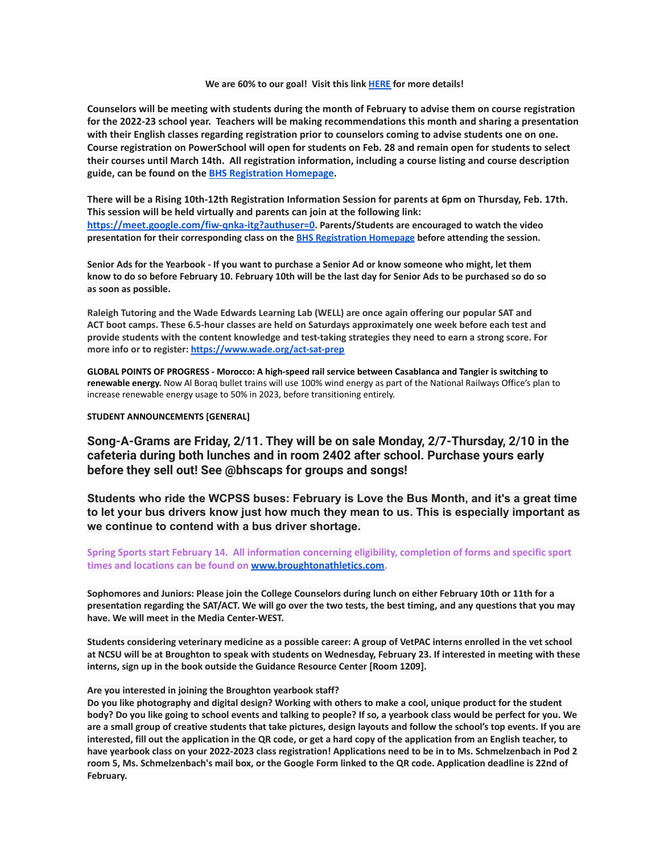#### **We are 60% to our goal! Visit this link [HERE](https://m7scym5f.r.us-east-1.awstrack.me/L0/https:%2F%2Fbhsboosters.memberhub.gives%2Fauditorium%2Fcampaign%2Fdetails/1/0100017ea6f46b6a-1badb6c9-3132-4a52-a058-a0648093ce59-000000/wb9pLkOlbBx6_LCzOfrZ4-8JYUk=255) for more details!**

Counselors will be meeting with students during the month of February to advise them on course registration **for the 2022-23 school year. Teachers will be making recommendations this month and sharing a presentation with their English classes regarding registration prior to counselors coming to advise students one on one.** Course registration on PowerSchool will open for students on Feb. 28 and remain open for students to select **their courses until March 14th. All registration information, including a course listing and course description guide, can be found on the BHS [Registration](https://broughtonstudentservices.weebly.com/rising-10th-12th-course-registration.html) Homepage.**

There will be a Rising 10th-12th Registration Information Session for parents at 6pm on Thursday, Feb. 17th. **This session will be held virtually and parents can join at the following link: <https://meet.google.com/fiw-qnka-itg?authuser=0>. Parents/Students are encouraged to watch the video presentation for their corresponding class on the BHS [Registration](https://broughtonstudentservices.weebly.com/rising-10th-12th-course-registration.html) Homepage before attending the session.**

Senior Ads for the Yearbook - If you want to purchase a Senior Ad or know someone who might, let them know to do so before February 10. February 10th will be the last day for Senior Ads to be purchased so do so **as soon as possible.**

**Raleigh Tutoring and the Wade Edwards Learning Lab (WELL) are once again offering our popular SAT and ACT boot camps. These 6.5-hour classes are held on Saturdays approximately one week before each test and** provide students with the content knowledge and test-taking strategies they need to earn a strong score. For **more info or to register: <https://www.wade.org/act-sat-prep>**

**GLOBAL POINTS OF PROGRESS - Morocco: A high-speed rail service between Casablanca and Tangier is switching to renewable energy.** Now Al Boraq bullet trains will use 100% wind energy as part of the National Railways Office's plan to increase renewable energy usage to 50% in 2023, before transitioning entirely.

#### **STUDENT ANNOUNCEMENTS [GENERAL]**

**Song-A-Grams are Friday, 2/11. They will be on sale Monday, 2/7-Thursday, 2/10 in the cafeteria during both lunches and in room 2402 after school. Purchase yours early before they sell out! See @bhscaps for groups and songs!**

**Students who ride the WCPSS buses: February is Love the Bus Month, and it's a great time to let your bus drivers know just how much they mean to us. This is especially important as we continue to contend with a bus driver shortage.**

## **Spring Sports start February 14. All information concerning eligibility, completion of forms and specific sport times and locations can be found on [www.broughtonathletics.com.](http://www.broughtonathletics.com/)**

Sophomores and Juniors: Please join the College Counselors during lunch on either February 10th or 11th for a presentation regarding the SAT/ACT. We will go over the two tests, the best timing, and any questions that you may **have. We will meet in the Media Center-WEST.**

Students considering veterinary medicine as a possible career: A group of VetPAC interns enrolled in the vet school at NCSU will be at Broughton to speak with students on Wednesday, February 23. If interested in meeting with these **interns, sign up in the book outside the Guidance Resource Center [Room 1209].**

#### **Are you interested in joining the Broughton yearbook staff?**

Do you like photography and digital design? Working with others to make a cool, unique product for the student body? Do you like going to school events and talking to people? If so, a yearbook class would be perfect for you. We are a small group of creative students that take pictures, design layouts and follow the school's top events. If you are interested, fill out the application in the QR code, or get a hard copy of the application from an English teacher, to have yearbook class on your 2022-2023 class registration! Applications need to be in to Ms. Schmelzenbach in Pod 2 room 5, Ms. Schmelzenbach's mail box, or the Google Form linked to the QR code. Application deadline is 22nd of **February.**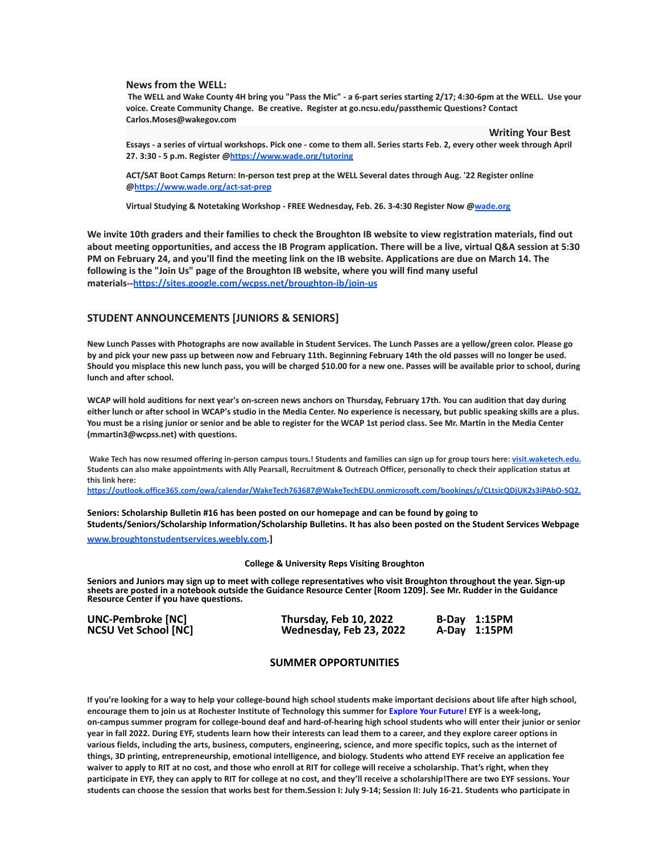#### **News from the WELL:**

The WELL and Wake County 4H bring you "Pass the Mic" - a 6-part series starting 2/17; 4:30-6pm at the WELL. Use your **voice. Create Community Change. Be creative. Register at go.ncsu.edu/passthemic Questions? Contact Carlos.Moses@wakegov.com**

**Writing Your Best**

Essays - a series of virtual workshops. Pick one - come to them all. Series starts Feb. 2, every other week through April **27. 3:30 - 5 p.m. Register @<https://www.wade.org/tutoring>**

**ACT/SAT Boot Camps Return: In-person test prep at the WELL Several dates through Aug. '22 Register online @<https://www.wade.org/act-sat-prep>**

**Virtual Studying & Notetaking Workshop - FREE Wednesday, Feb. 26. 3-4:30 Register Now @[wade.org](http://wade.org/)**

We invite 10th graders and their families to check the Broughton IB website to view registration materials, find out about meeting opportunities, and access the IB Program application. There will be a live, virtual Q&A session at 5:30 PM on February 24, and you'll find the meeting link on the IB website. Applications are due on March 14. The **following is the "Join Us" page of the Broughton IB website, where you will find many useful materials--<https://sites.google.com/wcpss.net/broughton-ib/join-us>**

#### **STUDENT ANNOUNCEMENTS [JUNIORS & SENIORS]**

New Lunch Passes with Photographs are now available in Student Services. The Lunch Passes are a yellow/green color. Please go by and pick your new pass up between now and February 11th. Beginning February 14th the old passes will no longer be used. Should you misplace this new lunch pass, you will be charged \$10.00 for a new one. Passes will be available prior to school, during **lunch and after school.**

WCAP will hold auditions for next year's on-screen news anchors on Thursday, February 17th. You can audition that day during either lunch or after school in WCAP's studio in the Media Center. No experience is necessary, but public speaking skills are a plus. You must be a rising junior or senior and be able to register for the WCAP 1st period class. See Mr. Martin in the Media Center **(mmartin3@wcpss.net) with questions.**

Wake Tech has now resumed offering in-person campus tours.! Students and families can sign up for group tours here; visit, waketech.edu. Students can also make appointments with Ally Pearsall, Recruitment & Outreach Officer, personally to check their application status at **this link here:**

**[https://outlook.office365.com/owa/calendar/WakeTech763687@WakeTechEDU.onmicrosoft.com/bookings/s/CLtsicQDjUK2s3iPAbO-SQ2.](https://outlook.office365.com/owa/calendar/WakeTech763687@WakeTechEDU.onmicrosoft.com/bookings/s/CLtsicQDjUK2s3iPAbO-SQ2)**

**Seniors: Scholarship Bulletin #16 has been posted on our homepage and can be found by going to Students/Seniors/Scholarship Information/Scholarship Bulletins. It has also been posted on the Student Services Webpage**

**[www.broughtonstudentservices.weebly.com.](http://www.broughtonstudentservices.weebly.com)]**

#### **College & University Reps Visiting Broughton**

**Seniors and Juniors may sign up to meet with college representatives who visit Broughton throughout the year. Sign-up sheets are posted in a notebook outside the Guidance Resource Center [Room 1209]. See Mr. Rudder in the Guidance Resource Center if you have questions.**

| <b>UNC-Pembroke [NC]</b>    | Thursday, Feb 10, 2022  | B-Day 1:15PM |
|-----------------------------|-------------------------|--------------|
| <b>NCSU Vet School [NC]</b> | Wednesday, Feb 23, 2022 | A-Day 1:15PM |

#### **SUMMER OPPORTUNITIES**

If you're looking for a way to help your college-bound high school students make important decisions about life after high school, encourage them to join us at Rochester Institute of Technology this summer for [Explore](https://mx.technolutions.net/ss/c/gsby7xed_Q9kJKoUKuDGdB9R9sive_ZsM1Qb_nhkgjA08w4AqgRoJb0vlLFSSjZT/3j6/cfOu9R3lR8u3xTRhpngdYQ/h2/xzdGfzy3I2uSoAWXNd4vWkN1gV7yfnaiLQn6UQatgnc) Your Future! EYF is a week-long, on-campus summer program for college-bound deaf and hard-of-hearing high school students who will enter their junior or senior year in fall 2022. During EYF, students learn how their interests can lead them to a career, and they explore career options in various fields, including the arts, business, computers, engineering, science, and more specific topics, such as the internet of things, 3D printing, entrepreneurship, emotional intelligence, and biology. Students who attend EYF receive an application fee waiver to apply to RIT at no cost, and those who enroll at RIT for college will receive a scholarship. That's right, when they participate in EYF, they can apply to RIT for college at no cost, and they'll receive a scholarship!There are two EYF sessions. Your students can choose the session that works best for them.Session I: July 9-14; Session II: July 16-21. Students who participate in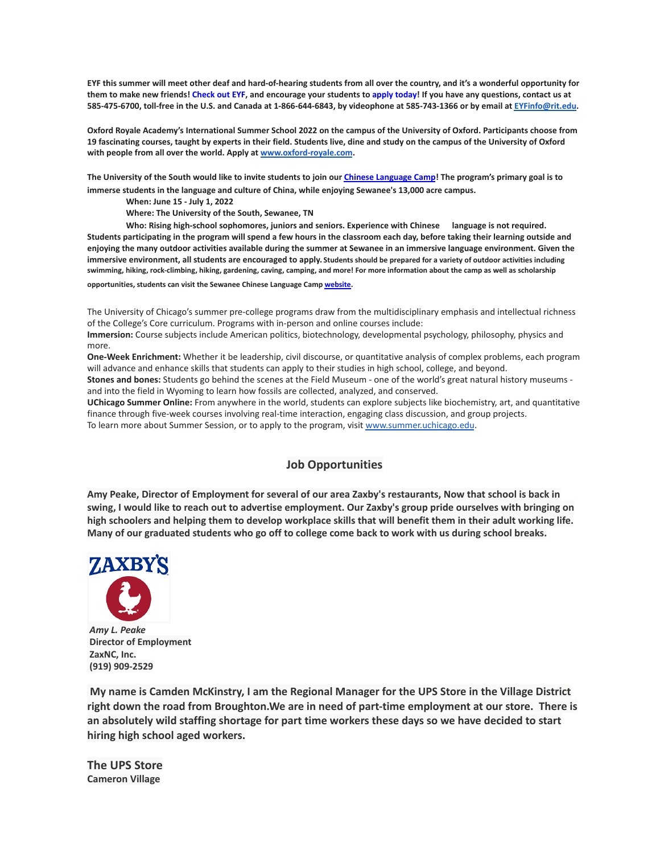EYF this summer will meet other deaf and hard-of-hearing students from all over the country, and it's a wonderful opportunity for them to make new friends! [Check](https://mx.technolutions.net/ss/c/gsby7xed_Q9kJKoUKuDGdB9R9sive_ZsM1Qb_nhkgjA08w4AqgRoJb0vlLFSSjZT/3j6/cfOu9R3lR8u3xTRhpngdYQ/h3/EJAJ5IZYnhy_5EoPb20FqK_vFekSoBF5wdP5m4I0v8E) out EYF, and encourage your students to apply [today!](https://mx.technolutions.net/ss/c/VpDhrCrvzjOrNk6AZ3TbHsDAoOWeZg67sWX3pIhEAGxCWhE-b5_ccZhgCUBu0qQbXV3r3Sp2r3bvI44-_FnkWzKY8PPT-NIXylVlj1p1QBc/3j6/cfOu9R3lR8u3xTRhpngdYQ/h4/z_F1GbKvjAXrSXS3vh6GZk3C0_JRjjBhcsu_861EJVE) If you have any questions, contact us at 585-475-6700, toll-free in the U.S. and Canada at 1-866-644-6843, by videophone at 585-743-1366 or by email at [EYFinfo@rit.edu.](mailto:EYFinfo@rit.edu)

Oxford Royale Academy's International Summer School 2022 on the campus of the University of Oxford. Participants choose from 19 fascinating courses, taught by experts in their field. Students live, dine and study on the campus of the University of Oxford **with people from all over the world. Apply at [www.oxford-royale.com](http://www.oxford-royale.com).**

The University of the South would like to invite students to join our Chinese [Language](https://mx.technolutions.net/ss/c/eakQ-C8DCmUrd8y7yBWDFiYAOUoJQ4pz7MfbEBpip6l0y_Hm_m-q4S1NAhKySW0l0l52Av-XFInBcX_HbKNhaFaTuY25zEq03f7H2jjkYbiZerVnvT_jJBJvBnD8L-82oFcjCA4feCp5rOrmzPCcig/3h1/Zb0AzY0dSO6ybsQoCzalvA/h1/a-eaRv0bEo5dxrOjmNABke9N9q3IKNCmv7tp3yn1eRg) Camp! The program's primary goal is to **immerse students in the language and culture of China, while enjoying Sewanee's 13,000 acre campus.**

**When: June 15 - July 1, 2022**

**Where: The University of the South, Sewanee, TN**

**Who: Rising high-school sophomores, juniors and seniors. Experience with Chinese language is not required.** Students participating in the program will spend a few hours in the classroom each day, before taking their learning outside and enjoying the many outdoor activities available during the summer at Sewanee in an immersive language environment. Given the **immersive environment, all students are encouraged to apply. Students should be prepared for a variety of outdoor activities including swimming, hiking, rock-climbing, hiking, gardening, caving, camping, and more! For more information about the camp as well as scholarship opportunities, students can visit the Sewanee Chinese Language Camp [website.](https://mx.technolutions.net/ss/c/eakQ-C8DCmUrd8y7yBWDFiYAOUoJQ4pz7MfbEBpip6l0y_Hm_m-q4S1NAhKySW0l0l52Av-XFInBcX_HbKNhaFaTuY25zEq03f7H2jjkYbiZerVnvT_jJBJvBnD8L-82oFcjCA4feCp5rOrmzPCcig/3h1/Zb0AzY0dSO6ybsQoCzalvA/h2/75iusWoe6oX7KGnwrl--J5PGQK1G9zr9iO3WkMg5UHE)**

The University of Chicago's summer pre-college programs draw from the multidisciplinary emphasis and intellectual richness of the College's Core curriculum. Programs with in-person and online courses include:

**Immersion:** Course subjects include American politics, biotechnology, developmental psychology, philosophy, physics and more.

**One-Week Enrichment:** Whether it be leadership, civil discourse, or quantitative analysis of complex problems, each program will advance and enhance skills that students can apply to their studies in high school, college, and beyond.

**Stones and bones:** Students go behind the scenes at the Field Museum - one of the world's great natural history museums and into the field in Wyoming to learn how fossils are collected, analyzed, and conserved.

**UChicago Summer Online:** From anywhere in the world, students can explore subjects like biochemistry, art, and quantitative finance through five-week courses involving real-time interaction, engaging class discussion, and group projects. To learn more about Summer Session, or to apply to the program, visit [www.summer.uchicago.edu](http://www.summer.uchicago.edu).

# **Job Opportunities**

Amy Peake, Director of Employment for several of our area Zaxby's restaurants, Now that school is back in swing, I would like to reach out to advertise employment. Our Zaxby's group pride ourselves with bringing on high schoolers and helping them to develop workplace skills that will benefit them in their adult working life. Many of our graduated students who go off to college come back to work with us during school breaks.



*Amy L. Peake* **Director of Employment ZaxNC, Inc. (919) 909-2529**

**My name is Camden McKinstry, I am the Regional Manager for the UPS Store in the Village District right down the road from Broughton.We are in need of part-time employment at our store. There is an absolutely wild staffing shortage for part time workers these days so we have decided to start hiring high school aged workers.**

**The UPS Store Cameron Village**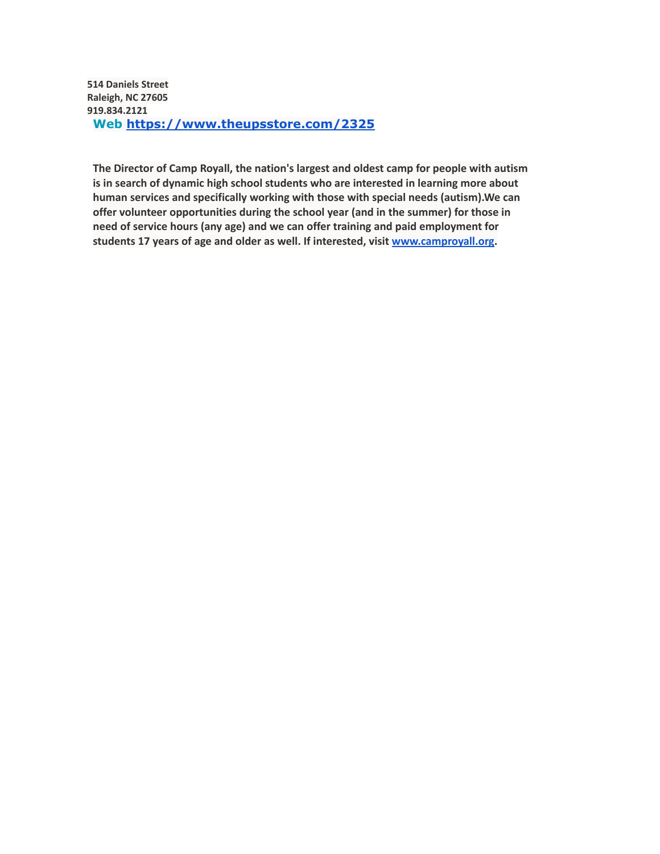**514 Daniels Street Raleigh, NC 27605 919.834.2121 Web <https://www.theupsstore.com/2325>**

**The Director of Camp Royall, the nation's largest and oldest camp for people with autism is in search of dynamic high school students who are interested in learning more about human services and specifically working with those with special needs (autism).We can offer volunteer opportunities during the school year (and in the summer) for those in need of service hours (any age) and we can offer training and paid employment for students 17 years of age and older as well. If interested, visit [www.camproyall.org.](http://www.camproyall.org)**